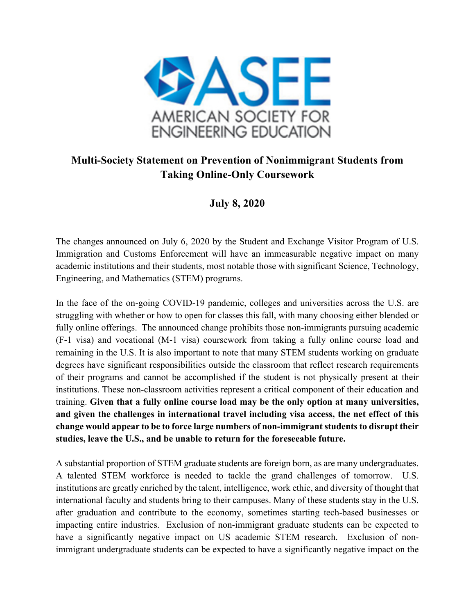

## **Multi-Society Statement on Prevention of Nonimmigrant Students from Taking Online-Only Coursework**

## **July 8, 2020**

The changes announced on July 6, 2020 by the Student and Exchange Visitor Program of U.S. Immigration and Customs Enforcement will have an immeasurable negative impact on many academic institutions and their students, most notable those with significant Science, Technology, Engineering, and Mathematics (STEM) programs.

In the face of the on-going COVID-19 pandemic, colleges and universities across the U.S. are struggling with whether or how to open for classes this fall, with many choosing either blended or fully online offerings. The announced change prohibits those non-immigrants pursuing academic (F-1 visa) and vocational (M-1 visa) coursework from taking a fully online course load and remaining in the U.S. It is also important to note that many STEM students working on graduate degrees have significant responsibilities outside the classroom that reflect research requirements of their programs and cannot be accomplished if the student is not physically present at their institutions. These non-classroom activities represent a critical component of their education and training. **Given that a fully online course load may be the only option at many universities, and given the challenges in international travel including visa access, the net effect of this change would appear to be to force large numbers of non-immigrant students to disrupt their studies, leave the U.S., and be unable to return for the foreseeable future.**

A substantial proportion of STEM graduate students are foreign born, as are many undergraduates. A talented STEM workforce is needed to tackle the grand challenges of tomorrow. U.S. institutions are greatly enriched by the talent, intelligence, work ethic, and diversity of thought that international faculty and students bring to their campuses. Many of these students stay in the U.S. after graduation and contribute to the economy, sometimes starting tech-based businesses or impacting entire industries. Exclusion of non-immigrant graduate students can be expected to have a significantly negative impact on US academic STEM research. Exclusion of nonimmigrant undergraduate students can be expected to have a significantly negative impact on the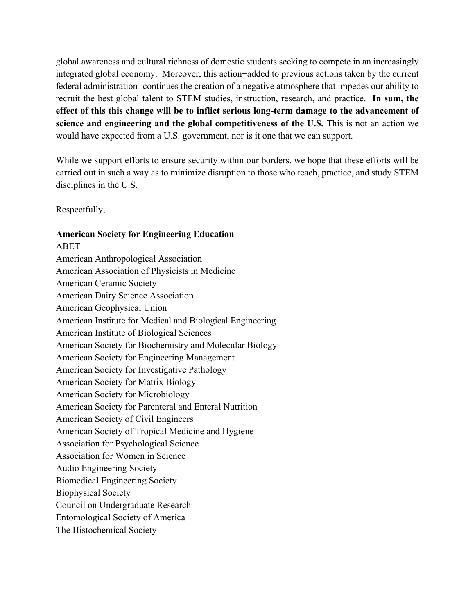global awareness and cultural richness of domestic students seeking to compete in an increasingly integrated global economy. Moreover, this action−added to previous actions taken by the current federal administration−continues the creation of a negative atmosphere that impedes our ability to recruit the best global talent to STEM studies, instruction, research, and practice. **In sum, the effect of this this change will be to inflict serious long-term damage to the advancement of science and engineering and the global competitiveness of the U.S.** This is not an action we would have expected from a U.S. government, nor is it one that we can support.

While we support efforts to ensure security within our borders, we hope that these efforts will be carried out in such a way as to minimize disruption to those who teach, practice, and study STEM disciplines in the U.S.

Respectfully,

## **American Society for Engineering Education** ABET

American Anthropological Association American Association of Physicists in Medicine American Ceramic Society American Dairy Science Association American Geophysical Union American Institute for Medical and Biological Engineering American Institute of Biological Sciences American Society for Biochemistry and Molecular Biology American Society for Engineering Management American Society for Investigative Pathology American Society for Matrix Biology American Society for Microbiology American Society for Parenteral and Enteral Nutrition American Society of Civil Engineers American Society of Tropical Medicine and Hygiene Association for Psychological Science Association for Women in Science Audio Engineering Society Biomedical Engineering Society Biophysical Society Council on Undergraduate Research Entomological Society of America The Histochemical Society